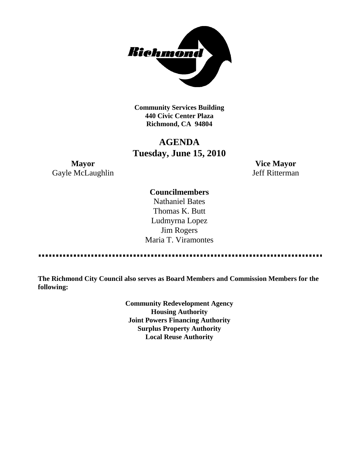

**Community Services Building 440 Civic Center Plaza Richmond, CA 94804**

# **AGENDA Tuesday, June 15, 2010**

**Mayor Vice Mayor** Gayle McLaughlin Jeff Ritterman

# **Councilmembers**

Nathaniel Bates Thomas K. Butt Ludmyrna Lopez Jim Rogers Maria T. Viramontes

**The Richmond City Council also serves as Board Members and Commission Members for the following:**

> **Community Redevelopment Agency Housing Authority Joint Powers Financing Authority Surplus Property Authority Local Reuse Authority**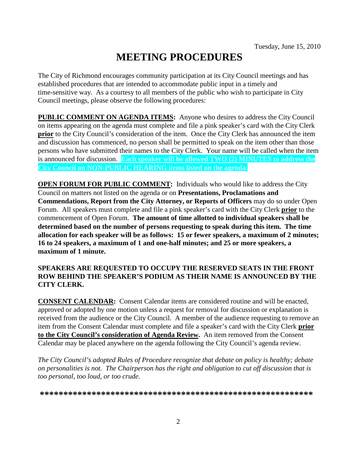# **MEETING PROCEDURES**

The City of Richmond encourages community participation at its City Council meetings and has established procedures that are intended to accommodate public input in a timely and time-sensitive way. As a courtesy to all members of the public who wish to participate in City Council meetings, please observe the following procedures:

**PUBLIC COMMENT ON AGENDA ITEMS:** Anyone who desires to address the City Council on items appearing on the agenda must complete and file a pink speaker's card with the City Clerk **prior** to the City Council's consideration of the item. Once the City Clerk has announced the item and discussion has commenced, no person shall be permitted to speak on the item other than those persons who have submitted their names to the City Clerk. Your name will be called when the item is announced for discussion. **Each speaker will be allowed TWO (2) MINUTES to address the City Council on NON-PUBLIC HEARING items listed on the agenda.**

**OPEN FORUM FOR PUBLIC COMMENT:** Individuals who would like to address the City Council on matters not listed on the agenda or on **Presentations, Proclamations and Commendations, Report from the City Attorney, or Reports of Officers** may do so under Open Forum. All speakers must complete and file a pink speaker's card with the City Clerk **prior** to the commencement of Open Forum. **The amount of time allotted to individual speakers shall be determined based on the number of persons requesting to speak during this item. The time allocation for each speaker will be as follows: 15 or fewer speakers, a maximum of 2 minutes; 16 to 24 speakers, a maximum of 1 and one-half minutes; and 25 or more speakers, a maximum of 1 minute.**

# **SPEAKERS ARE REQUESTED TO OCCUPY THE RESERVED SEATS IN THE FRONT ROW BEHIND THE SPEAKER'S PODIUM AS THEIR NAME IS ANNOUNCED BY THE CITY CLERK.**

**CONSENT CALENDAR:** Consent Calendar items are considered routine and will be enacted, approved or adopted by one motion unless a request for removal for discussion or explanation is received from the audience or the City Council. A member of the audience requesting to remove an item from the Consent Calendar must complete and file a speaker's card with the City Clerk **prior to the City Council's consideration of Agenda Review.** An item removed from the Consent Calendar may be placed anywhere on the agenda following the City Council's agenda review.

*The City Council's adopted Rules of Procedure recognize that debate on policy is healthy; debate on personalities is not. The Chairperson has the right and obligation to cut off discussion that is too personal, too loud, or too crude.*

**\*\*\*\*\*\*\*\*\*\*\*\*\*\*\*\*\*\*\*\*\*\*\*\*\*\*\*\*\*\*\*\*\*\*\*\*\*\*\*\*\*\*\*\*\*\*\*\*\*\*\*\*\*\*\*\*\*\***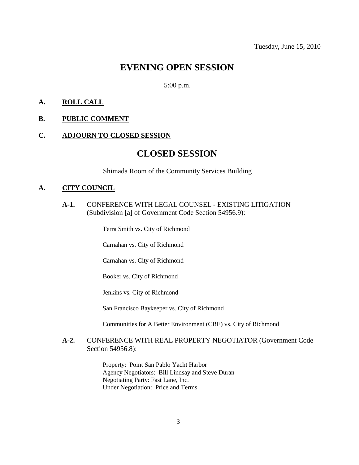# **EVENING OPEN SESSION**

5:00 p.m.

## **A. ROLL CALL**

#### **B. PUBLIC COMMENT**

### **C. ADJOURN TO CLOSED SESSION**

# **CLOSED SESSION**

Shimada Room of the Community Services Building

#### **A. CITY COUNCIL**

**A-1.** CONFERENCE WITH LEGAL COUNSEL - EXISTING LITIGATION (Subdivision [a] of Government Code Section 54956.9):

Terra Smith vs. City of Richmond

Carnahan vs. City of Richmond

Carnahan vs. City of Richmond

Booker vs. City of Richmond

Jenkins vs. City of Richmond

San Francisco Baykeeper vs. City of Richmond

Communities for A Better Environment (CBE) vs. City of Richmond

# **A-2.** CONFERENCE WITH REAL PROPERTY NEGOTIATOR (Government Code Section 54956.8):

Property: Point San Pablo Yacht Harbor Agency Negotiators: Bill Lindsay and Steve Duran Negotiating Party: Fast Lane, Inc. Under Negotiation: Price and Terms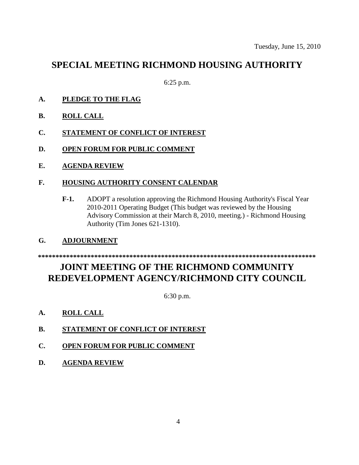# **SPECIAL MEETING RICHMOND HOUSING AUTHORITY**

6:25 p.m.

- **A. PLEDGE TO THE FLAG**
- **B. ROLL CALL**
- **C. STATEMENT OF CONFLICT OF INTEREST**
- **D. OPEN FORUM FOR PUBLIC COMMENT**
- **E. AGENDA REVIEW**
- **F. HOUSING AUTHORITY CONSENT CALENDAR**
	- **F-1.** ADOPT a resolution approving the Richmond Housing Authority's Fiscal Year 2010-2011 Operating Budget (This budget was reviewed by the Housing Advisory Commission at their March 8, 2010, meeting.) - Richmond Housing Authority (Tim Jones 621-1310).
- **G. ADJOURNMENT**

#### **\*\*\*\*\*\*\*\*\*\*\*\*\*\*\*\*\*\*\*\*\*\*\*\*\*\*\*\*\*\*\*\*\*\*\*\*\*\*\*\*\*\*\*\*\*\*\*\*\*\*\*\*\*\*\*\*\*\*\*\*\*\*\*\*\*\*\*\*\*\*\*\*\*\*\*\*\*\*\***

# **JOINT MEETING OF THE RICHMOND COMMUNITY REDEVELOPMENT AGENCY/RICHMOND CITY COUNCIL**

6:30 p.m.

- **A. ROLL CALL**
- **B. STATEMENT OF CONFLICT OF INTEREST**
- **C. OPEN FORUM FOR PUBLIC COMMENT**
- **D. AGENDA REVIEW**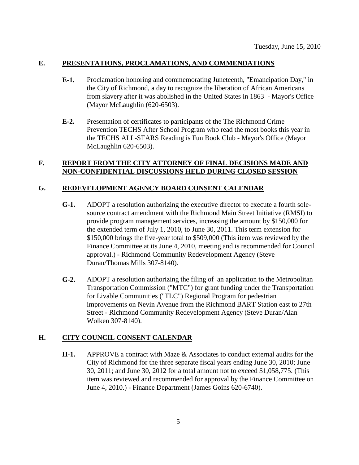# **E. PRESENTATIONS, PROCLAMATIONS, AND COMMENDATIONS**

- **E-1.** Proclamation honoring and commemorating Juneteenth, "Emancipation Day," in the City of Richmond, a day to recognize the liberation of African Americans from slavery after it was abolished in the United States in 1863 - Mayor's Office (Mayor McLaughlin (620-6503).
- **E-2.** Presentation of certificates to participants of the The Richmond Crime Prevention TECHS After School Program who read the most books this year in the TECHS ALL-STARS Reading is Fun Book Club - Mayor's Office (Mayor McLaughlin 620-6503).

# **F. REPORT FROM THE CITY ATTORNEY OF FINAL DECISIONS MADE AND NON-CONFIDENTIAL DISCUSSIONS HELD DURING CLOSED SESSION**

# **G. REDEVELOPMENT AGENCY BOARD CONSENT CALENDAR**

- **G-1.** ADOPT a resolution authorizing the executive director to execute a fourth solesource contract amendment with the Richmond Main Street Initiative (RMSI) to provide program management services, increasing the amount by \$150,000 for the extended term of July 1, 2010, to June 30, 2011. This term extension for \$150,000 brings the five-year total to \$509,000 (This item was reviewed by the Finance Committee at its June 4, 2010, meeting and is recommended for Council approval.) - Richmond Community Redevelopment Agency (Steve Duran/Thomas Mills 307-8140).
- **G-2.** ADOPT a resolution authorizing the filing of an application to the Metropolitan Transportation Commission ("MTC") for grant funding under the Transportation for Livable Communities ("TLC") Regional Program for pedestrian improvements on Nevin Avenue from the Richmond BART Station east to 27th Street - Richmond Community Redevelopment Agency (Steve Duran/Alan Wolken 307-8140).

# **H. CITY COUNCIL CONSENT CALENDAR**

**H-1.** APPROVE a contract with Maze & Associates to conduct external audits for the City of Richmond for the three separate fiscal years ending June 30, 2010; June 30, 2011; and June 30, 2012 for a total amount not to exceed \$1,058,775. (This item was reviewed and recommended for approval by the Finance Committee on June 4, 2010.) - Finance Department (James Goins 620-6740).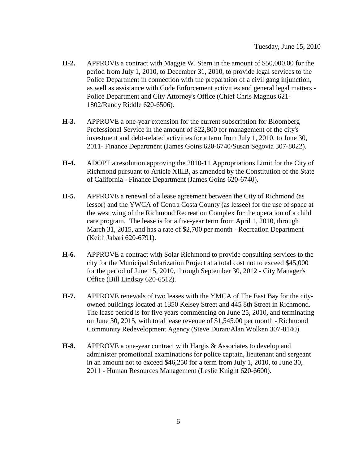- **H-2.** APPROVE a contract with Maggie W. Stern in the amount of \$50,000.00 for the period from July 1, 2010, to December 31, 2010, to provide legal services to the Police Department in connection with the preparation of a civil gang injunction, as well as assistance with Code Enforcement activities and general legal matters - Police Department and City Attorney's Office (Chief Chris Magnus 621- 1802/Randy Riddle 620-6506).
- **H-3.** APPROVE a one-year extension for the current subscription for Bloomberg Professional Service in the amount of \$22,800 for management of the city's investment and debt-related activities for a term from July 1, 2010, to June 30, 2011- Finance Department (James Goins 620-6740/Susan Segovia 307-8022).
- **H-4.** ADOPT a resolution approving the 2010-11 Appropriations Limit for the City of Richmond pursuant to Article XIIIB, as amended by the Constitution of the State of California - Finance Department (James Goins 620-6740).
- **H-5.** APPROVE a renewal of a lease agreement between the City of Richmond (as lessor) and the YWCA of Contra Costa County (as lessee) for the use of space at the west wing of the Richmond Recreation Complex for the operation of a child care program. The lease is for a five-year term from April 1, 2010, through March 31, 2015, and has a rate of \$2,700 per month - Recreation Department (Keith Jabari 620-6791).
- **H-6.** APPROVE a contract with Solar Richmond to provide consulting services to the city for the Municipal Solarization Project at a total cost not to exceed \$45,000 for the period of June 15, 2010, through September 30, 2012 - City Manager's Office (Bill Lindsay 620-6512).
- **H-7.** APPROVE renewals of two leases with the YMCA of The East Bay for the cityowned buildings located at 1350 Kelsey Street and 445 8th Street in Richmond. The lease period is for five years commencing on June 25, 2010, and terminating on June 30, 2015, with total lease revenue of \$1,545.00 per month - Richmond Community Redevelopment Agency (Steve Duran/Alan Wolken 307-8140).
- **H-8.** APPROVE a one-year contract with Hargis & Associates to develop and administer promotional examinations for police captain, lieutenant and sergeant in an amount not to exceed \$46,250 for a term from July 1, 2010, to June 30, 2011 - Human Resources Management (Leslie Knight 620-6600).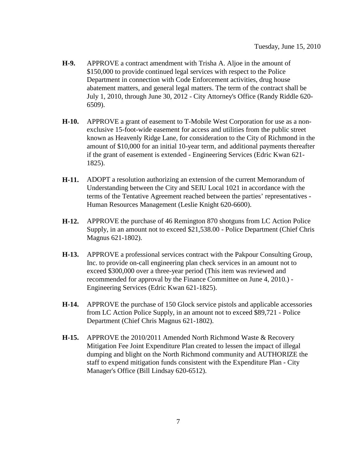- **H-9.** APPROVE a contract amendment with Trisha A. Aljoe in the amount of \$150,000 to provide continued legal services with respect to the Police Department in connection with Code Enforcement activities, drug house abatement matters, and general legal matters. The term of the contract shall be July 1, 2010, through June 30, 2012 - City Attorney's Office (Randy Riddle 620- 6509).
- **H-10.** APPROVE a grant of easement to T-Mobile West Corporation for use as a nonexclusive 15-foot-wide easement for access and utilities from the public street known as Heavenly Ridge Lane, for consideration to the City of Richmond in the amount of \$10,000 for an initial 10-year term, and additional payments thereafter if the grant of easement is extended - Engineering Services (Edric Kwan 621- 1825).
- **H-11.** ADOPT a resolution authorizing an extension of the current Memorandum of Understanding between the City and SEIU Local 1021 in accordance with the terms of the Tentative Agreement reached between the parties' representatives - Human Resources Management (Leslie Knight 620-6600).
- **H-12.** APPROVE the purchase of 46 Remington 870 shotguns from LC Action Police Supply, in an amount not to exceed \$21,538.00 - Police Department (Chief Chris Magnus 621-1802).
- **H-13.** APPROVE a professional services contract with the Pakpour Consulting Group, Inc. to provide on-call engineering plan check services in an amount not to exceed \$300,000 over a three-year period (This item was reviewed and recommended for approval by the Finance Committee on June 4, 2010.) - Engineering Services (Edric Kwan 621-1825).
- **H-14.** APPROVE the purchase of 150 Glock service pistols and applicable accessories from LC Action Police Supply, in an amount not to exceed \$89,721 - Police Department (Chief Chris Magnus 621-1802).
- **H-15.** APPROVE the 2010/2011 Amended North Richmond Waste & Recovery Mitigation Fee Joint Expenditure Plan created to lessen the impact of illegal dumping and blight on the North Richmond community and AUTHORIZE the staff to expend mitigation funds consistent with the Expenditure Plan - City Manager's Office (Bill Lindsay 620-6512).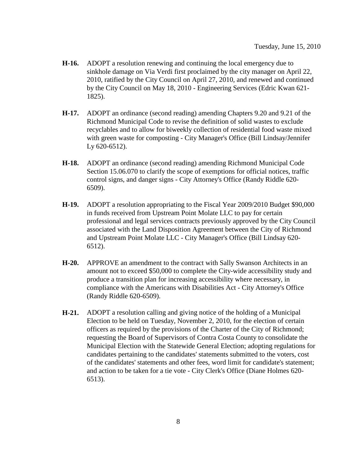- **H-16.** ADOPT a resolution renewing and continuing the local emergency due to sinkhole damage on Via Verdi first proclaimed by the city manager on April 22, 2010, ratified by the City Council on April 27, 2010, and renewed and continued by the City Council on May 18, 2010 - Engineering Services (Edric Kwan 621- 1825).
- **H-17.** ADOPT an ordinance (second reading) amending Chapters 9.20 and 9.21 of the Richmond Municipal Code to revise the definition of solid wastes to exclude recyclables and to allow for biweekly collection of residential food waste mixed with green waste for composting - City Manager's Office (Bill Lindsay/Jennifer Ly 620-6512).
- **H-18.** ADOPT an ordinance (second reading) amending Richmond Municipal Code Section 15.06.070 to clarify the scope of exemptions for official notices, traffic control signs, and danger signs - City Attorney's Office (Randy Riddle 620- 6509).
- **H-19.** ADOPT a resolution appropriating to the Fiscal Year 2009/2010 Budget \$90,000 in funds received from Upstream Point Molate LLC to pay for certain professional and legal services contracts previously approved by the City Council associated with the Land Disposition Agreement between the City of Richmond and Upstream Point Molate LLC - City Manager's Office (Bill Lindsay 620- 6512).
- **H-20.** APPROVE an amendment to the contract with Sally Swanson Architects in an amount not to exceed \$50,000 to complete the City-wide accessibility study and produce a transition plan for increasing accessibility where necessary, in compliance with the Americans with Disabilities Act - City Attorney's Office (Randy Riddle 620-6509).
- **H-21.** ADOPT a resolution calling and giving notice of the holding of a Municipal Election to be held on Tuesday, November 2, 2010, for the election of certain officers as required by the provisions of the Charter of the City of Richmond; requesting the Board of Supervisors of Contra Costa County to consolidate the Municipal Election with the Statewide General Election; adopting regulations for candidates pertaining to the candidates' statements submitted to the voters, cost of the candidates' statements and other fees, word limit for candidate's statement; and action to be taken for a tie vote - City Clerk's Office (Diane Holmes 620- 6513).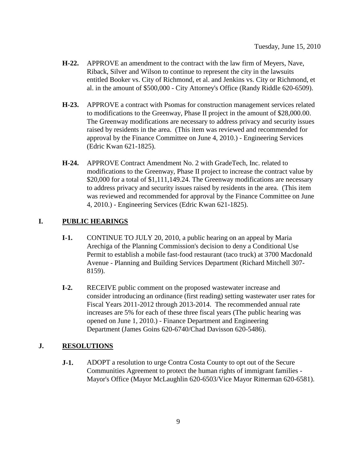- **H-22.** APPROVE an amendment to the contract with the law firm of Meyers, Nave, Riback, Silver and Wilson to continue to represent the city in the lawsuits entitled Booker vs. City of Richmond, et al. and Jenkins vs. City or Richmond, et al. in the amount of \$500,000 - City Attorney's Office (Randy Riddle 620-6509).
- **H-23.** APPROVE a contract with Psomas for construction management services related to modifications to the Greenway, Phase II project in the amount of \$28,000.00. The Greenway modifications are necessary to address privacy and security issues raised by residents in the area. (This item was reviewed and recommended for approval by the Finance Committee on June 4, 2010.) - Engineering Services (Edric Kwan 621-1825).
- **H-24.** APPROVE Contract Amendment No. 2 with GradeTech, Inc. related to modifications to the Greenway, Phase II project to increase the contract value by \$20,000 for a total of \$1,111,149.24. The Greenway modifications are necessary to address privacy and security issues raised by residents in the area. (This item was reviewed and recommended for approval by the Finance Committee on June 4, 2010.) - Engineering Services (Edric Kwan 621-1825).

# **I. PUBLIC HEARINGS**

- **I-1.** CONTINUE TO JULY 20, 2010, a public hearing on an appeal by Maria Arechiga of the Planning Commission's decision to deny a Conditional Use Permit to establish a mobile fast-food restaurant (taco truck) at 3700 Macdonald Avenue - Planning and Building Services Department (Richard Mitchell 307- 8159).
- **I-2.** RECEIVE public comment on the proposed wastewater increase and consider introducing an ordinance (first reading) setting wastewater user rates for Fiscal Years 2011-2012 through 2013-2014. The recommended annual rate increases are 5% for each of these three fiscal years (The public hearing was opened on June 1, 2010.) - Finance Department and Engineering Department (James Goins 620-6740/Chad Davisson 620-5486).

### **J. RESOLUTIONS**

**J-1.** ADOPT a resolution to urge Contra Costa County to opt out of the Secure Communities Agreement to protect the human rights of immigrant families - Mayor's Office (Mayor McLaughlin 620-6503/Vice Mayor Ritterman 620-6581).